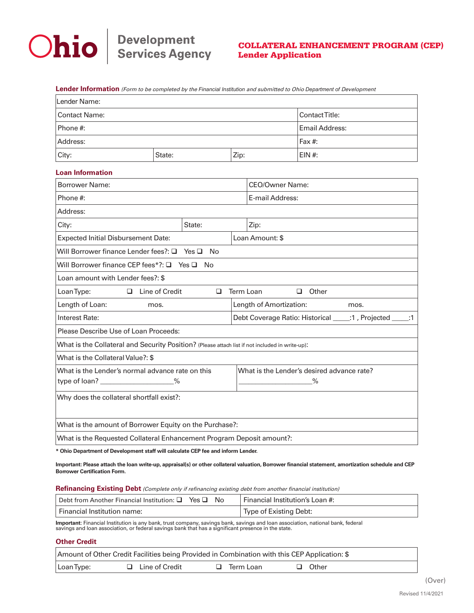

**Lender Information** (Form to be completed by the *Financial Institution* and submitted to Ohio *Department of* Development

| Lender Name:                                                                                    |                       |               |                                                              |                                            |          |  |  |  |
|-------------------------------------------------------------------------------------------------|-----------------------|---------------|--------------------------------------------------------------|--------------------------------------------|----------|--|--|--|
| <b>Contact Name:</b>                                                                            | ContactTitle:         |               |                                                              |                                            |          |  |  |  |
| Phone #:                                                                                        | <b>Email Address:</b> |               |                                                              |                                            |          |  |  |  |
| Address:                                                                                        |                       |               |                                                              | Fax $#$ :                                  |          |  |  |  |
| City:                                                                                           | State:                |               | Zip:                                                         |                                            | $EIN#$ : |  |  |  |
| <b>Loan Information</b>                                                                         |                       |               |                                                              |                                            |          |  |  |  |
| <b>Borrower Name:</b>                                                                           |                       |               |                                                              | <b>CEO/Owner Name:</b>                     |          |  |  |  |
| Phone #:                                                                                        |                       |               |                                                              | E-mail Address:                            |          |  |  |  |
| Address:                                                                                        |                       |               |                                                              |                                            |          |  |  |  |
| City:                                                                                           | State:                |               |                                                              | Zip:                                       |          |  |  |  |
| <b>Expected Initial Disbursement Date:</b>                                                      |                       |               |                                                              | Loan Amount: \$                            |          |  |  |  |
| Will Borrower finance Lender fees?: Q                                                           |                       | $Yes \Box No$ |                                                              |                                            |          |  |  |  |
| Will Borrower finance CEP fees*?: $\Box$ Yes $\Box$ No                                          |                       |               |                                                              |                                            |          |  |  |  |
| Loan amount with Lender fees?: \$                                                               |                       |               |                                                              |                                            |          |  |  |  |
| $\Box$ Line of Credit<br>Loan Type:<br>Term Loan<br>$\Box$ Other<br>□                           |                       |               |                                                              |                                            |          |  |  |  |
| Length of Loan:<br>mos.                                                                         |                       |               |                                                              | Length of Amortization:<br>mos.            |          |  |  |  |
| Interest Rate:                                                                                  |                       |               | Debt Coverage Ratio: Historical _____: 1, Projected _____: 1 |                                            |          |  |  |  |
| Please Describe Use of Loan Proceeds:                                                           |                       |               |                                                              |                                            |          |  |  |  |
| What is the Collateral and Security Position? (Please attach list if not included in write-up): |                       |               |                                                              |                                            |          |  |  |  |
| What is the Collateral Value?: \$                                                               |                       |               |                                                              |                                            |          |  |  |  |
| What is the Lender's normal advance rate on this                                                |                       |               |                                                              | What is the Lender's desired advance rate? |          |  |  |  |
| type of loan? ___________________%                                                              |                       |               |                                                              | $\%$                                       |          |  |  |  |
| Why does the collateral shortfall exist?:                                                       |                       |               |                                                              |                                            |          |  |  |  |
| What is the amount of Borrower Equity on the Purchase?:                                         |                       |               |                                                              |                                            |          |  |  |  |
| What is the Requested Collateral Enhancement Program Deposit amount?:                           |                       |               |                                                              |                                            |          |  |  |  |

**\* Ohio Department of Development staff will calculate CEP fee and inform Lender.**

**Important: Please attach the loan write-up, appraisal(s) or other collateral valuation, Borrower financial statement, amortization schedule and CEP Borrower Certification Form.**

**Refinancing Existing Debt** (Complete only if refinancing existing debt from another financial institution)

| Debt from Another Financial Institution: □ Yes □ No | Financial Institution's Loan #: |
|-----------------------------------------------------|---------------------------------|
| Financial Institution name:                         | Type of Existing Debt:          |

**Important**: Financial Institution is any bank, trust company, savings bank, savings and loan association, national bank, federal savings and loan association, or federal savings bank that has a significant presence in the state.

## **Other Credit**

| Amount of Other Credit Facilities being Provided in Combination with this CEP Application: \$ |                       |             |         |  |  |  |  |  |  |
|-----------------------------------------------------------------------------------------------|-----------------------|-------------|---------|--|--|--|--|--|--|
| Loan Type:                                                                                    | $\Box$ Line of Credit | □ Term Loan | □ Other |  |  |  |  |  |  |